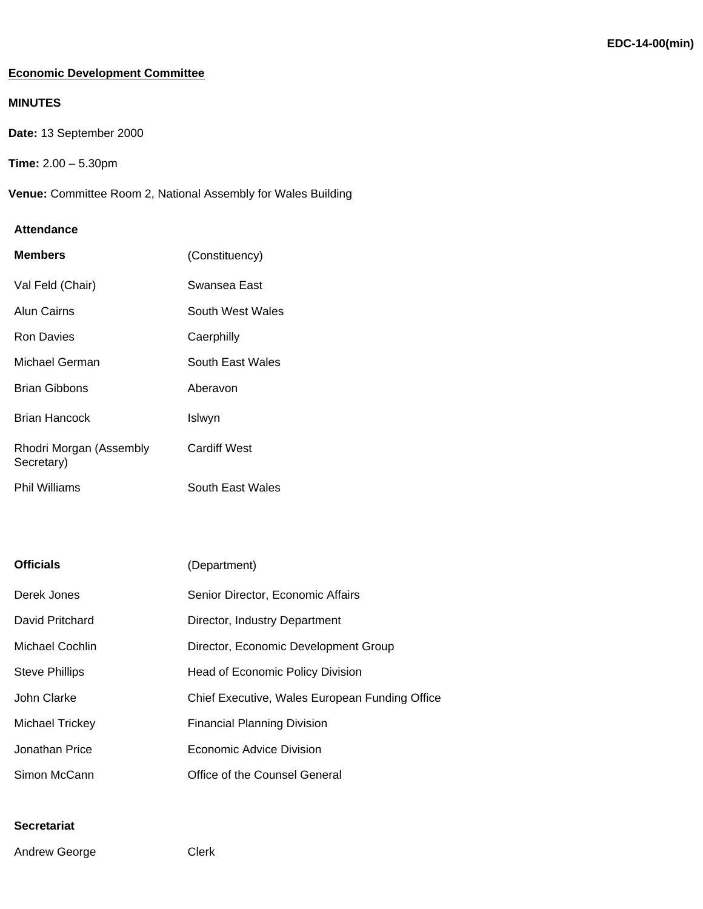## **Economic Development Committee**

# **MINUTES**

**Date:** 13 September 2000

```
Time: 2.00 – 5.30pm
```
**Venue:** Committee Room 2, National Assembly for Wales Building

#### **Attendance**

| <b>Members</b>                        | (Constituency)          |
|---------------------------------------|-------------------------|
| Val Feld (Chair)                      | Swansea East            |
| Alun Cairns                           | South West Wales        |
| Ron Davies                            | Caerphilly              |
| Michael German                        | <b>South East Wales</b> |
| Brian Gibbons                         | Aberavon                |
| <b>Brian Hancock</b>                  | Islwyn                  |
| Rhodri Morgan (Assembly<br>Secretary) | <b>Cardiff West</b>     |
| Phil Williams                         | South East Wales        |

| <b>Officials</b>       | (Department)                                   |
|------------------------|------------------------------------------------|
| Derek Jones            | Senior Director, Economic Affairs              |
| David Pritchard        | Director, Industry Department                  |
| Michael Cochlin        | Director, Economic Development Group           |
| <b>Steve Phillips</b>  | Head of Economic Policy Division               |
| John Clarke            | Chief Executive, Wales European Funding Office |
| <b>Michael Trickey</b> | <b>Financial Planning Division</b>             |
| Jonathan Price         | Economic Advice Division                       |
| Simon McCann           | Office of the Counsel General                  |

## **Secretariat**

Andrew George Clerk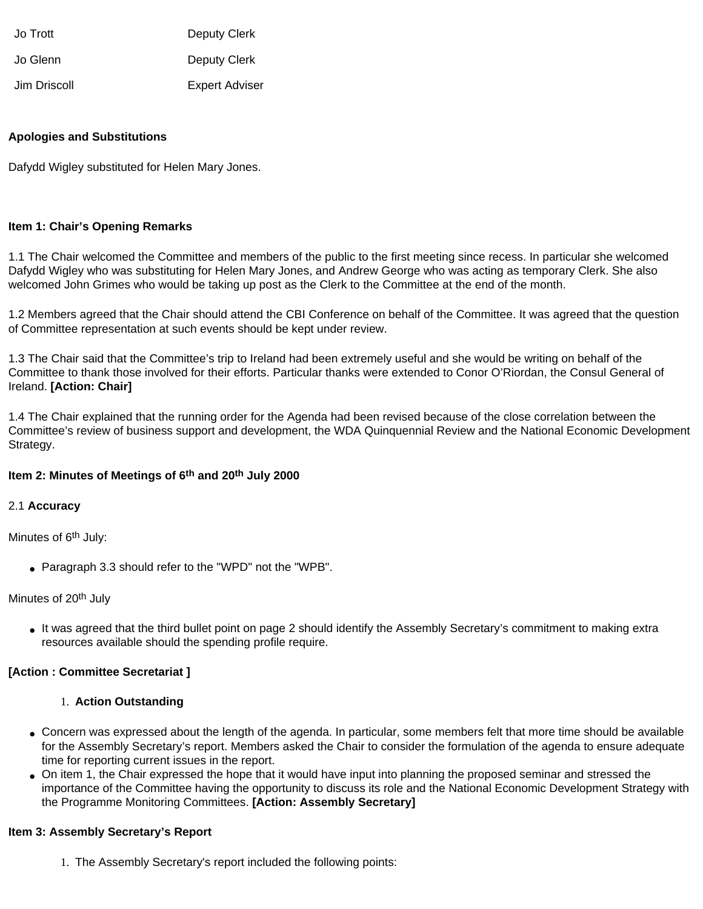| Jo Trott     | Deputy Clerk          |
|--------------|-----------------------|
| Jo Glenn     | Deputy Clerk          |
| Jim Driscoll | <b>Expert Adviser</b> |

#### **Apologies and Substitutions**

Dafydd Wigley substituted for Helen Mary Jones.

#### **Item 1: Chair's Opening Remarks**

1.1 The Chair welcomed the Committee and members of the public to the first meeting since recess. In particular she welcomed Dafydd Wigley who was substituting for Helen Mary Jones, and Andrew George who was acting as temporary Clerk. She also welcomed John Grimes who would be taking up post as the Clerk to the Committee at the end of the month.

1.2 Members agreed that the Chair should attend the CBI Conference on behalf of the Committee. It was agreed that the question of Committee representation at such events should be kept under review.

1.3 The Chair said that the Committee's trip to Ireland had been extremely useful and she would be writing on behalf of the Committee to thank those involved for their efforts. Particular thanks were extended to Conor O'Riordan, the Consul General of Ireland. **[Action: Chair]**

1.4 The Chair explained that the running order for the Agenda had been revised because of the close correlation between the Committee's review of business support and development, the WDA Quinquennial Review and the National Economic Development Strategy.

## **Item 2: Minutes of Meetings of 6th and 20th July 2000**

#### 2.1 **Accuracy**

Minutes of 6<sup>th</sup> July:

• Paragraph 3.3 should refer to the "WPD" not the "WPB".

#### Minutes of 20<sup>th</sup> July

• It was agreed that the third bullet point on page 2 should identify the Assembly Secretary's commitment to making extra resources available should the spending profile require.

## **[Action : Committee Secretariat ]**

#### 1. **Action Outstanding**

- Concern was expressed about the length of the agenda. In particular, some members felt that more time should be available for the Assembly Secretary's report. Members asked the Chair to consider the formulation of the agenda to ensure adequate time for reporting current issues in the report.
- On item 1, the Chair expressed the hope that it would have input into planning the proposed seminar and stressed the importance of the Committee having the opportunity to discuss its role and the National Economic Development Strategy with the Programme Monitoring Committees. **[Action: Assembly Secretary]**

#### **Item 3: Assembly Secretary's Report**

1. The Assembly Secretary's report included the following points: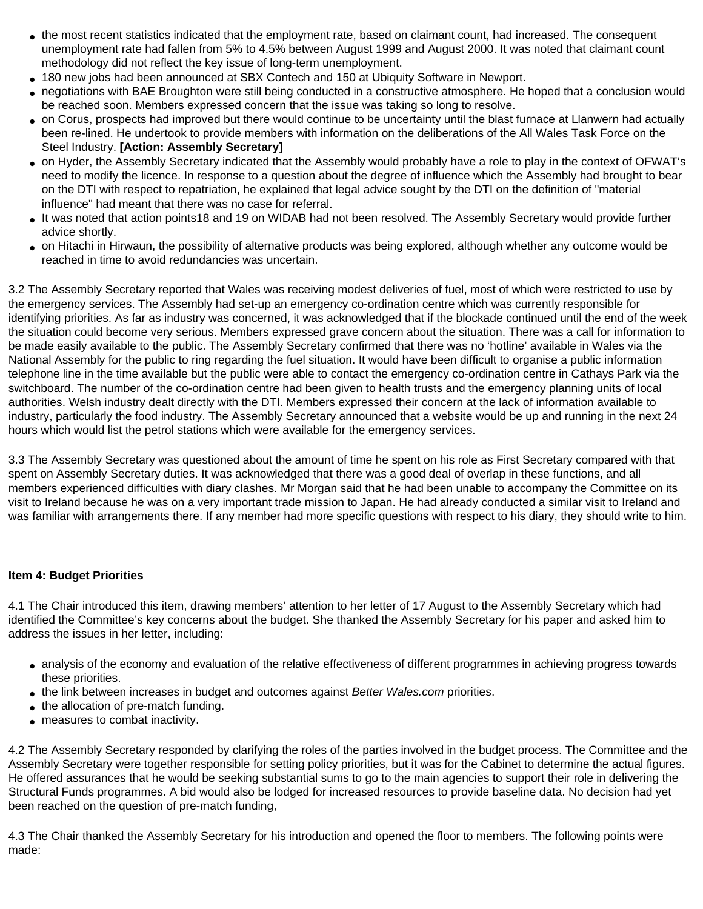- the most recent statistics indicated that the employment rate, based on claimant count, had increased. The consequent unemployment rate had fallen from 5% to 4.5% between August 1999 and August 2000. It was noted that claimant count methodology did not reflect the key issue of long-term unemployment.
- 180 new jobs had been announced at SBX Contech and 150 at Ubiquity Software in Newport.
- negotiations with BAE Broughton were still being conducted in a constructive atmosphere. He hoped that a conclusion would be reached soon. Members expressed concern that the issue was taking so long to resolve.
- on Corus, prospects had improved but there would continue to be uncertainty until the blast furnace at Llanwern had actually been re-lined. He undertook to provide members with information on the deliberations of the All Wales Task Force on the Steel Industry. **[Action: Assembly Secretary]**
- on Hyder, the Assembly Secretary indicated that the Assembly would probably have a role to play in the context of OFWAT's need to modify the licence. In response to a question about the degree of influence which the Assembly had brought to bear on the DTI with respect to repatriation, he explained that legal advice sought by the DTI on the definition of "material influence" had meant that there was no case for referral.
- It was noted that action points18 and 19 on WIDAB had not been resolved. The Assembly Secretary would provide further advice shortly.
- on Hitachi in Hirwaun, the possibility of alternative products was being explored, although whether any outcome would be reached in time to avoid redundancies was uncertain.

3.2 The Assembly Secretary reported that Wales was receiving modest deliveries of fuel, most of which were restricted to use by the emergency services. The Assembly had set-up an emergency co-ordination centre which was currently responsible for identifying priorities. As far as industry was concerned, it was acknowledged that if the blockade continued until the end of the week the situation could become very serious. Members expressed grave concern about the situation. There was a call for information to be made easily available to the public. The Assembly Secretary confirmed that there was no 'hotline' available in Wales via the National Assembly for the public to ring regarding the fuel situation. It would have been difficult to organise a public information telephone line in the time available but the public were able to contact the emergency co-ordination centre in Cathays Park via the switchboard. The number of the co-ordination centre had been given to health trusts and the emergency planning units of local authorities. Welsh industry dealt directly with the DTI. Members expressed their concern at the lack of information available to industry, particularly the food industry. The Assembly Secretary announced that a website would be up and running in the next 24 hours which would list the petrol stations which were available for the emergency services.

3.3 The Assembly Secretary was questioned about the amount of time he spent on his role as First Secretary compared with that spent on Assembly Secretary duties. It was acknowledged that there was a good deal of overlap in these functions, and all members experienced difficulties with diary clashes. Mr Morgan said that he had been unable to accompany the Committee on its visit to Ireland because he was on a very important trade mission to Japan. He had already conducted a similar visit to Ireland and was familiar with arrangements there. If any member had more specific questions with respect to his diary, they should write to him.

## **Item 4: Budget Priorities**

4.1 The Chair introduced this item, drawing members' attention to her letter of 17 August to the Assembly Secretary which had identified the Committee's key concerns about the budget. She thanked the Assembly Secretary for his paper and asked him to address the issues in her letter, including:

- analysis of the economy and evaluation of the relative effectiveness of different programmes in achieving progress towards these priorities.
- the link between increases in budget and outcomes against *Better Wales.com* priorities.
- the allocation of pre-match funding.
- measures to combat inactivity.

4.2 The Assembly Secretary responded by clarifying the roles of the parties involved in the budget process. The Committee and the Assembly Secretary were together responsible for setting policy priorities, but it was for the Cabinet to determine the actual figures. He offered assurances that he would be seeking substantial sums to go to the main agencies to support their role in delivering the Structural Funds programmes. A bid would also be lodged for increased resources to provide baseline data. No decision had yet been reached on the question of pre-match funding,

4.3 The Chair thanked the Assembly Secretary for his introduction and opened the floor to members. The following points were made: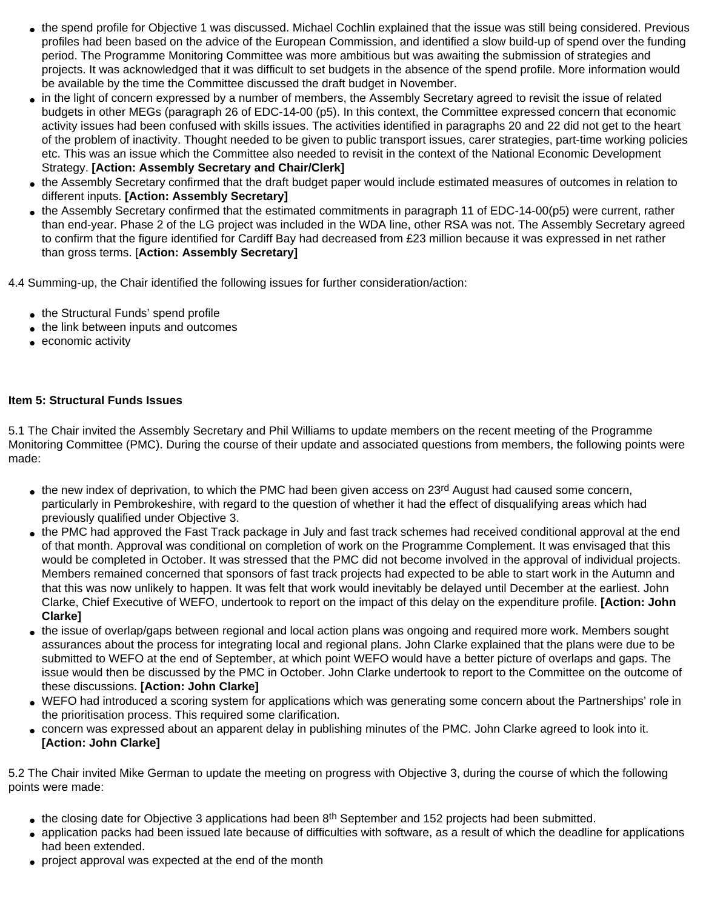- the spend profile for Objective 1 was discussed. Michael Cochlin explained that the issue was still being considered. Previous profiles had been based on the advice of the European Commission, and identified a slow build-up of spend over the funding period. The Programme Monitoring Committee was more ambitious but was awaiting the submission of strategies and projects. It was acknowledged that it was difficult to set budgets in the absence of the spend profile. More information would be available by the time the Committee discussed the draft budget in November.
- in the light of concern expressed by a number of members, the Assembly Secretary agreed to revisit the issue of related budgets in other MEGs (paragraph 26 of EDC-14-00 (p5). In this context, the Committee expressed concern that economic activity issues had been confused with skills issues. The activities identified in paragraphs 20 and 22 did not get to the heart of the problem of inactivity. Thought needed to be given to public transport issues, carer strategies, part-time working policies etc. This was an issue which the Committee also needed to revisit in the context of the National Economic Development Strategy. **[Action: Assembly Secretary and Chair/Clerk]**
- the Assembly Secretary confirmed that the draft budget paper would include estimated measures of outcomes in relation to different inputs. **[Action: Assembly Secretary]**
- the Assembly Secretary confirmed that the estimated commitments in paragraph 11 of EDC-14-00(p5) were current, rather than end-year. Phase 2 of the LG project was included in the WDA line, other RSA was not. The Assembly Secretary agreed to confirm that the figure identified for Cardiff Bay had decreased from £23 million because it was expressed in net rather than gross terms. [**Action: Assembly Secretary]**

4.4 Summing-up, the Chair identified the following issues for further consideration/action:

- the Structural Funds' spend profile
- the link between inputs and outcomes
- economic activity

## **Item 5: Structural Funds Issues**

5.1 The Chair invited the Assembly Secretary and Phil Williams to update members on the recent meeting of the Programme Monitoring Committee (PMC). During the course of their update and associated questions from members, the following points were made:

- the new index of deprivation, to which the PMC had been given access on 23<sup>rd</sup> August had caused some concern, particularly in Pembrokeshire, with regard to the question of whether it had the effect of disqualifying areas which had previously qualified under Objective 3.
- the PMC had approved the Fast Track package in July and fast track schemes had received conditional approval at the end of that month. Approval was conditional on completion of work on the Programme Complement. It was envisaged that this would be completed in October. It was stressed that the PMC did not become involved in the approval of individual projects. Members remained concerned that sponsors of fast track projects had expected to be able to start work in the Autumn and that this was now unlikely to happen. It was felt that work would inevitably be delayed until December at the earliest. John Clarke, Chief Executive of WEFO, undertook to report on the impact of this delay on the expenditure profile. **[Action: John Clarke]**
- the issue of overlap/gaps between regional and local action plans was ongoing and required more work. Members sought assurances about the process for integrating local and regional plans. John Clarke explained that the plans were due to be submitted to WEFO at the end of September, at which point WEFO would have a better picture of overlaps and gaps. The issue would then be discussed by the PMC in October. John Clarke undertook to report to the Committee on the outcome of these discussions. **[Action: John Clarke]**
- WEFO had introduced a scoring system for applications which was generating some concern about the Partnerships' role in the prioritisation process. This required some clarification.
- concern was expressed about an apparent delay in publishing minutes of the PMC. John Clarke agreed to look into it. **[Action: John Clarke]**

5.2 The Chair invited Mike German to update the meeting on progress with Objective 3, during the course of which the following points were made:

- $\bullet$  the closing date for Objective 3 applications had been 8<sup>th</sup> September and 152 projects had been submitted.
- application packs had been issued late because of difficulties with software, as a result of which the deadline for applications had been extended.
- project approval was expected at the end of the month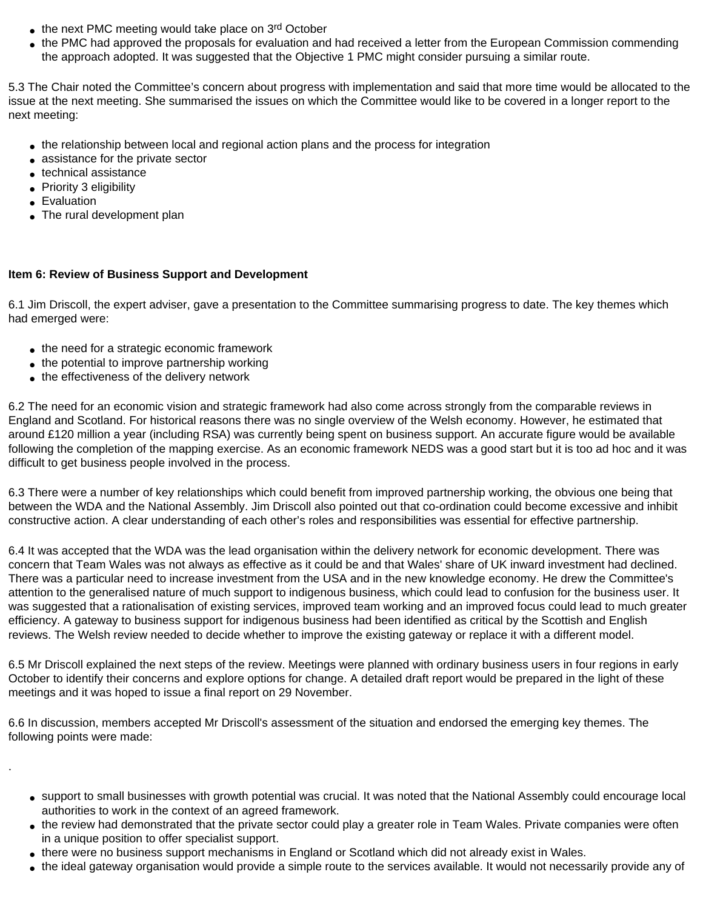- $\bullet$  the next PMC meeting would take place on 3rd October
- the PMC had approved the proposals for evaluation and had received a letter from the European Commission commending the approach adopted. It was suggested that the Objective 1 PMC might consider pursuing a similar route.

5.3 The Chair noted the Committee's concern about progress with implementation and said that more time would be allocated to the issue at the next meeting. She summarised the issues on which the Committee would like to be covered in a longer report to the next meeting:

- the relationship between local and regional action plans and the process for integration
- assistance for the private sector
- technical assistance
- Priority 3 eligibility
- Evaluation

.

• The rural development plan

# **Item 6: Review of Business Support and Development**

6.1 Jim Driscoll, the expert adviser, gave a presentation to the Committee summarising progress to date. The key themes which had emerged were:

- the need for a strategic economic framework
- the potential to improve partnership working
- the effectiveness of the delivery network

6.2 The need for an economic vision and strategic framework had also come across strongly from the comparable reviews in England and Scotland. For historical reasons there was no single overview of the Welsh economy. However, he estimated that around £120 million a year (including RSA) was currently being spent on business support. An accurate figure would be available following the completion of the mapping exercise. As an economic framework NEDS was a good start but it is too ad hoc and it was difficult to get business people involved in the process.

6.3 There were a number of key relationships which could benefit from improved partnership working, the obvious one being that between the WDA and the National Assembly. Jim Driscoll also pointed out that co-ordination could become excessive and inhibit constructive action. A clear understanding of each other's roles and responsibilities was essential for effective partnership.

6.4 It was accepted that the WDA was the lead organisation within the delivery network for economic development. There was concern that Team Wales was not always as effective as it could be and that Wales' share of UK inward investment had declined. There was a particular need to increase investment from the USA and in the new knowledge economy. He drew the Committee's attention to the generalised nature of much support to indigenous business, which could lead to confusion for the business user. It was suggested that a rationalisation of existing services, improved team working and an improved focus could lead to much greater efficiency. A gateway to business support for indigenous business had been identified as critical by the Scottish and English reviews. The Welsh review needed to decide whether to improve the existing gateway or replace it with a different model.

6.5 Mr Driscoll explained the next steps of the review. Meetings were planned with ordinary business users in four regions in early October to identify their concerns and explore options for change. A detailed draft report would be prepared in the light of these meetings and it was hoped to issue a final report on 29 November.

6.6 In discussion, members accepted Mr Driscoll's assessment of the situation and endorsed the emerging key themes. The following points were made:

- support to small businesses with growth potential was crucial. It was noted that the National Assembly could encourage local authorities to work in the context of an agreed framework.
- the review had demonstrated that the private sector could play a greater role in Team Wales. Private companies were often in a unique position to offer specialist support.
- there were no business support mechanisms in England or Scotland which did not already exist in Wales.
- the ideal gateway organisation would provide a simple route to the services available. It would not necessarily provide any of